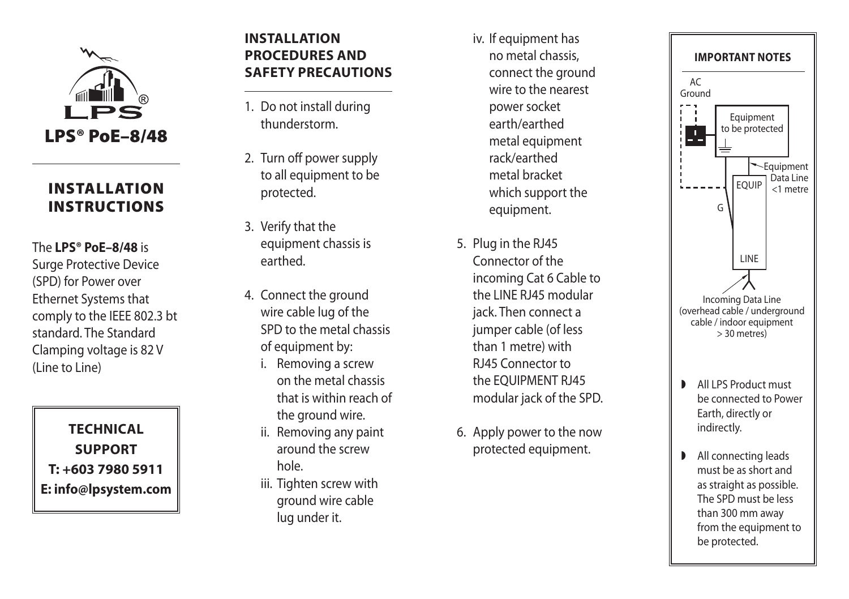

## INSTALLATION **INSTRUCTIONS**

The **LPS® PoE–8/48** is Surge Protective Device (SPD) for Power over Ethernet Systems that comply to the IEEE 802.3 bt standard. The Standard Clamping voltage is 82 V (Line to Line)

**Technica l s uppor t T: +603 7980 5911 E: info@lpsystem.com**

## **I nstall ation proc edures and SAFETY PRECAUTIONS**

- 1. Do not install during thunderstorm.
- 2. Turn off power supply to all equipment to be protected.
- 3. Verify that the equipment chassis is earthed.
- 4. Connect the ground wire cable lug of the SPD to the metal chassis of equipment by:
	- i. Removing a screw on the metal chassis that is within reach of the ground wire.
	- ii. Removing any paint around the screw hole.
	- iii. Tighten screw with ground wire cable lug under it.
- iv. If equipment has no metal chassis, connect the ground wire to the nearest power socket earth/earthed metal equipment rack/earthed metal bracket which support the equipment.
- 5. Plug in the RJ45 Connector of the incoming Cat 6 Cable to the LINE RJ45 modular jack. Then connect a jumper cable (of less than 1 metre) with RJ45 Connector to the EQUIPMENT RJ45 modular jack of the SPD.
- 6. Apply power to the now protected equipment.